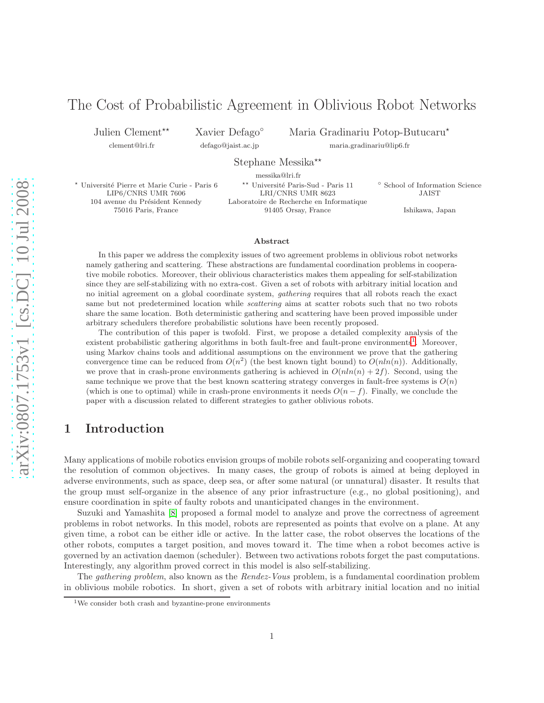# The Cost of Probabilistic Agreement in Oblivious Robot Networks

Julien Clement<sup>\*\*</sup> clement@lri.fr

Xavier Defago◦ defago@jaist.ac.jp

Maria Gradinariu Potop-Butucaru<sup>\*</sup>

maria.gradinariu@lip6.fr

Stephane Messika<sup>\*\*</sup>

messika@lri.fr

★ Université Pierre et Marie Curie - Paris 6 ↑ ★★ Université Paris-Sud - Paris 11 。 ↑ School of Information Science<br>LIP6/CNRS UMR 7606 LRI/CNRS UMR 8623 JAIST LIP6/CNRS UMR 7606 LRI/CNRS UMR 8623 JAIST 104 avenue du Président Kennedy Laboratoire de Recherche en Informatique 75016 Paris, France 91405 Orsay, France Ishikawa, Japan

#### Abstract

In this paper we address the complexity issues of two agreement problems in oblivious robot networks namely gathering and scattering. These abstractions are fundamental coordination problems in cooperative mobile robotics. Moreover, their oblivious characteristics makes them appealing for self-stabilization since they are self-stabilizing with no extra-cost. Given a set of robots with arbitrary initial location and no initial agreement on a global coordinate system, gathering requires that all robots reach the exact same but not predetermined location while *scattering* aims at scatter robots such that no two robots share the same location. Both deterministic gathering and scattering have been proved impossible under arbitrary schedulers therefore probabilistic solutions have been recently proposed.

The contribution of this paper is twofold. First, we propose a detailed complexity analysis of the existent probabilistic gathering algorithms in both fault-free and fault-prone environments<sup>[1](#page-0-0)</sup>. Moreover, using Markov chains tools and additional assumptions on the environment we prove that the gathering convergence time can be reduced from  $O(n^2)$  (the best known tight bound) to  $O(n\ln(n))$ . Additionally, we prove that in crash-prone environments gathering is achieved in  $O(n\ln(n) + 2f)$ . Second, using the same technique we prove that the best known scattering strategy converges in fault-free systems is  $O(n)$ (which is one to optimal) while in crash-prone environments it needs  $O(n-f)$ . Finally, we conclude the paper with a discussion related to different strategies to gather oblivious robots.

# 1 Introduction

Many applications of mobile robotics envision groups of mobile robots self-organizing and cooperating toward the resolution of common objectives. In many cases, the group of robots is aimed at being deployed in adverse environments, such as space, deep sea, or after some natural (or unnatural) disaster. It results that the group must self-organize in the absence of any prior infrastructure (e.g., no global positioning), and ensure coordination in spite of faulty robots and unanticipated changes in the environment.

Suzuki and Yamashita [\[8\]](#page-12-0) proposed a formal model to analyze and prove the correctness of agreement problems in robot networks. In this model, robots are represented as points that evolve on a plane. At any given time, a robot can be either idle or active. In the latter case, the robot observes the locations of the other robots, computes a target position, and moves toward it. The time when a robot becomes active is governed by an activation daemon (scheduler). Between two activations robots forget the past computations. Interestingly, any algorithm proved correct in this model is also self-stabilizing.

The *gathering problem*, also known as the *Rendez-Vous* problem, is a fundamental coordination problem in oblivious mobile robotics. In short, given a set of robots with arbitrary initial location and no initial

<span id="page-0-0"></span><sup>&</sup>lt;sup>1</sup>We consider both crash and byzantine-prone environments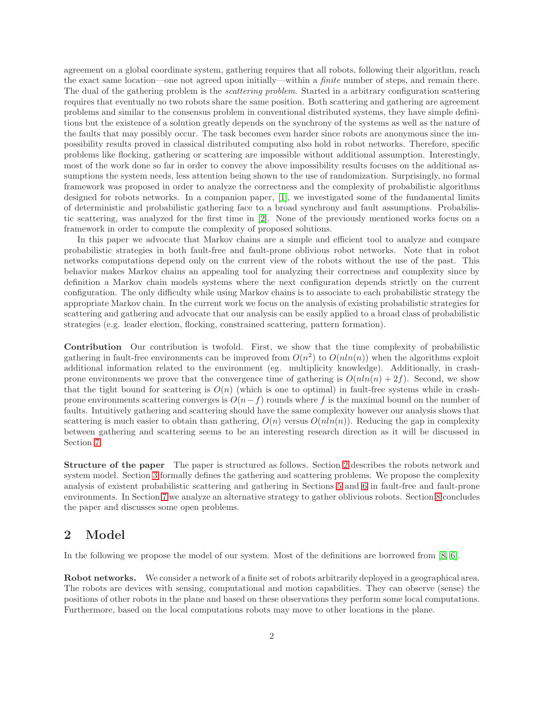agreement on a global coordinate system, gathering requires that all robots, following their algorithm, reach the exact same location—one not agreed upon initially—within a *finite* number of steps, and remain there. The dual of the gathering problem is the *scattering problem*. Started in a arbitrary configuration scattering requires that eventually no two robots share the same position. Both scattering and gathering are agreement problems and similar to the consensus problem in conventional distributed systems, they have simple definitions but the existence of a solution greatly depends on the synchrony of the systems as well as the nature of the faults that may possibly occur. The task becomes even harder since robots are anonymous since the impossibility results proved in classical distributed computing also hold in robot networks. Therefore, specific problems like flocking, gathering or scattering are impossible without additional assumption. Interestingly, most of the work done so far in order to convey the above impossibility results focuses on the additional assumptions the system needs, less attention being shown to the use of randomization. Surprisingly, no formal framework was proposed in order to analyze the correctness and the complexity of probabilistic algorithms designed for robots networks. In a companion paper, [\[1\]](#page-11-0), we investigated some of the fundamental limits of deterministic and probabilistic gathering face to a broad synchrony and fault assumptions. Probabilistic scattering, was analyzed for the first time in [\[2\]](#page-11-1). None of the previously mentioned works focus on a framework in order to compute the complexity of proposed solutions.

In this paper we advocate that Markov chains are a simple and efficient tool to analyze and compare probabilistic strategies in both fault-free and fault-prone oblivious robot networks. Note that in robot networks computations depend only on the current view of the robots without the use of the past. This behavior makes Markov chains an appealing tool for analyzing their correctness and complexity since by definition a Markov chain models systems where the next configuration depends strictly on the current configuration. The only difficulty while using Markov chains is to associate to each probabilistic strategy the appropriate Markov chain. In the current work we focus on the analysis of existing probabilistic strategies for scattering and gathering and advocate that our analysis can be easily applied to a broad class of probabilistic strategies (e.g. leader election, flocking, constrained scattering, pattern formation).

Contribution Our contribution is twofold. First, we show that the time complexity of probabilistic gathering in fault-free environments can be improved from  $O(n^2)$  to  $O(n\ln(n))$  when the algorithms exploit additional information related to the environment (eg. multiplicity knowledge). Additionally, in crashprone environments we prove that the convergence time of gathering is  $O(nln(n) + 2f)$ . Second, we show that the tight bound for scattering is  $O(n)$  (which is one to optimal) in fault-free systems while in crashprone environments scattering converges is  $O(n-f)$  rounds where f is the maximal bound on the number of faults. Intuitively gathering and scattering should have the same complexity however our analysis shows that scattering is much easier to obtain than gathering,  $O(n)$  versus  $O(n\ln(n))$ . Reducing the gap in complexity between gathering and scattering seems to be an interesting research direction as it will be discussed in Section [7.](#page-10-0)

Structure of the paper The paper is structured as follows. Section [2](#page-1-0) describes the robots network and system model. Section [3](#page-3-0) formally defines the gathering and scattering problems. We propose the complexity analysis of existent probabilistic scattering and gathering in Sections [5](#page-4-0) and [6](#page-8-0) in fault-free and fault-prone environments. In Section [7](#page-10-0) we analyze an alternative strategy to gather oblivious robots. Section [8](#page-11-2) concludes the paper and discusses some open problems.

### <span id="page-1-0"></span>2 Model

In the following we propose the model of our system. Most of the definitions are borrowed from [\[8,](#page-12-0) [6\]](#page-11-3).

Robot networks. We consider a network of a finite set of robots arbitrarily deployed in a geographical area. The robots are devices with sensing, computational and motion capabilities. They can observe (sense) the positions of other robots in the plane and based on these observations they perform some local computations. Furthermore, based on the local computations robots may move to other locations in the plane.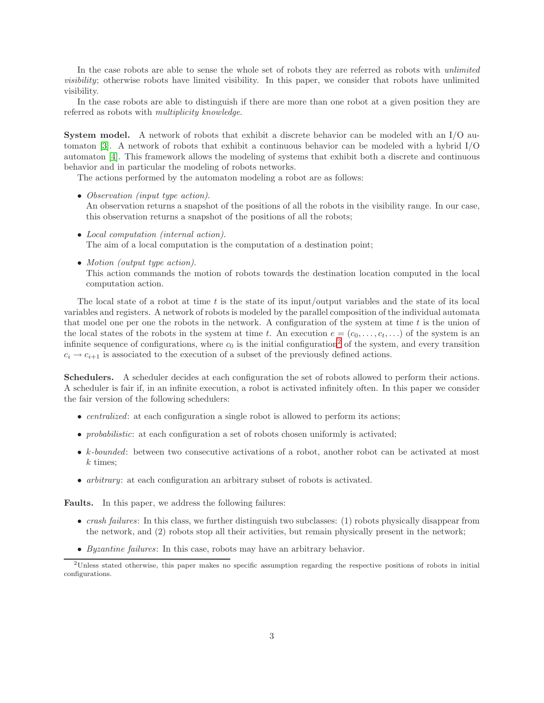In the case robots are able to sense the whole set of robots they are referred as robots with *unlimited visibility*; otherwise robots have limited visibility. In this paper, we consider that robots have unlimited visibility.

In the case robots are able to distinguish if there are more than one robot at a given position they are referred as robots with *multiplicity knowledge*.

System model. A network of robots that exhibit a discrete behavior can be modeled with an I/O automaton [\[3\]](#page-11-4). A network of robots that exhibit a continuous behavior can be modeled with a hybrid I/O automaton [\[4\]](#page-11-5). This framework allows the modeling of systems that exhibit both a discrete and continuous behavior and in particular the modeling of robots networks.

The actions performed by the automaton modeling a robot are as follows:

- *Observation (input type action)*. An observation returns a snapshot of the positions of all the robots in the visibility range. In our case, this observation returns a snapshot of the positions of all the robots;
- *Local computation (internal action)*. The aim of a local computation is the computation of a destination point;
- *Motion (output type action)*.

This action commands the motion of robots towards the destination location computed in the local computation action.

The local state of a robot at time  $t$  is the state of its input/output variables and the state of its local variables and registers. A network of robots is modeled by the parallel composition of the individual automata that model one per one the robots in the network. A configuration of the system at time  $t$  is the union of the local states of the robots in the system at time t. An execution  $e = (c_0, \ldots, c_t, \ldots)$  of the system is an infinite sequence of configurations, where  $c_0$  is the initial configuration<sup>[2](#page-2-0)</sup> of the system, and every transition  $c_i \rightarrow c_{i+1}$  is associated to the execution of a subset of the previously defined actions.

Schedulers. A scheduler decides at each configuration the set of robots allowed to perform their actions. A scheduler is fair if, in an infinite execution, a robot is activated infinitely often. In this paper we consider the fair version of the following schedulers:

- *centralized*: at each configuration a single robot is allowed to perform its actions;
- *probabilistic*: at each configuration a set of robots chosen uniformly is activated;
- k-bounded: between two consecutive activations of a robot, another robot can be activated at most  $k$  times;
- *arbitrary*: at each configuration an arbitrary subset of robots is activated.

Faults. In this paper, we address the following failures:

- *crash failures*: In this class, we further distinguish two subclasses: (1) robots physically disappear from the network, and (2) robots stop all their activities, but remain physically present in the network;
- *Byzantine failures*: In this case, robots may have an arbitrary behavior.

<span id="page-2-0"></span><sup>2</sup>Unless stated otherwise, this paper makes no specific assumption regarding the respective positions of robots in initial configurations.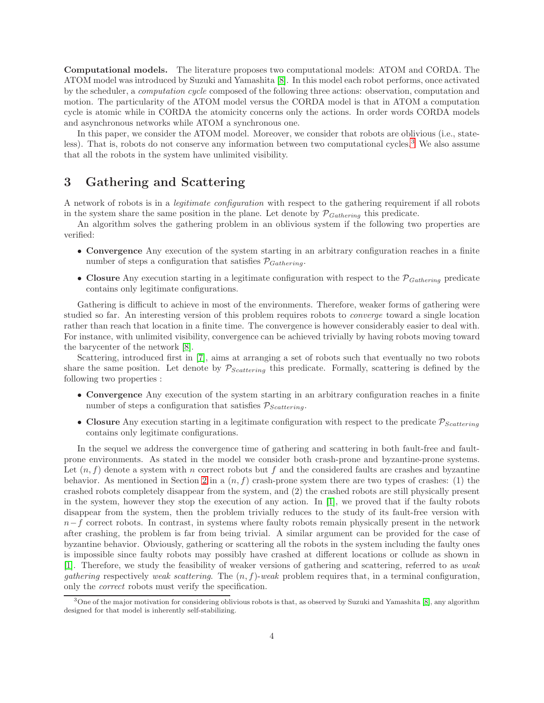Computational models. The literature proposes two computational models: ATOM and CORDA. The ATOM model was introduced by Suzuki and Yamashita [\[8\]](#page-12-0). In this model each robot performs, once activated by the scheduler, a *computation cycle* composed of the following three actions: observation, computation and motion. The particularity of the ATOM model versus the CORDA model is that in ATOM a computation cycle is atomic while in CORDA the atomicity concerns only the actions. In order words CORDA models and asynchronous networks while ATOM a synchronous one.

In this paper, we consider the ATOM model. Moreover, we consider that robots are oblivious (i.e., state-less). That is, robots do not conserve any information between two computational cycles.<sup>[3](#page-3-1)</sup> We also assume that all the robots in the system have unlimited visibility.

# <span id="page-3-0"></span>3 Gathering and Scattering

A network of robots is in a *legitimate configuration* with respect to the gathering requirement if all robots in the system share the same position in the plane. Let denote by  $P_{Gathering}$  this predicate.

An algorithm solves the gathering problem in an oblivious system if the following two properties are verified:

- Convergence Any execution of the system starting in an arbitrary configuration reaches in a finite number of steps a configuration that satisfies  $P_{Gathering}$ .
- Closure Any execution starting in a legitimate configuration with respect to the  $\mathcal{P}_{Gathering}$  predicate contains only legitimate configurations.

Gathering is difficult to achieve in most of the environments. Therefore, weaker forms of gathering were studied so far. An interesting version of this problem requires robots to *converge* toward a single location rather than reach that location in a finite time. The convergence is however considerably easier to deal with. For instance, with unlimited visibility, convergence can be achieved trivially by having robots moving toward the barycenter of the network [\[8\]](#page-12-0).

Scattering, introduced first in [\[7\]](#page-12-1), aims at arranging a set of robots such that eventually no two robots share the same position. Let denote by  $P_{Scattering}$  this predicate. Formally, scattering is defined by the following two properties :

- Convergence Any execution of the system starting in an arbitrary configuration reaches in a finite number of steps a configuration that satisfies  $P_{Scattering}$ .
- Closure Any execution starting in a legitimate configuration with respect to the predicate  $P_{Scattering}$ contains only legitimate configurations.

In the sequel we address the convergence time of gathering and scattering in both fault-free and faultprone environments. As stated in the model we consider both crash-prone and byzantine-prone systems. Let  $(n, f)$  denote a system with n correct robots but f and the considered faults are crashes and byzantine behavior. As mentioned in Section [2](#page-1-0) in a  $(n, f)$  crash-prone system there are two types of crashes: (1) the crashed robots completely disappear from the system, and (2) the crashed robots are still physically present in the system, however they stop the execution of any action. In [\[1\]](#page-11-0), we proved that if the faulty robots disappear from the system, then the problem trivially reduces to the study of its fault-free version with  $n-f$  correct robots. In contrast, in systems where faulty robots remain physically present in the network after crashing, the problem is far from being trivial. A similar argument can be provided for the case of byzantine behavior. Obviously, gathering or scattering all the robots in the system including the faulty ones is impossible since faulty robots may possibly have crashed at different locations or collude as shown in [\[1\]](#page-11-0). Therefore, we study the feasibility of weaker versions of gathering and scattering, referred to as *weak gathering* respectively *weak scattering*. The  $(n, f)$ -*weak* problem requires that, in a terminal configuration, only the *correct* robots must verify the specification.

<span id="page-3-1"></span><sup>3</sup>One of the major motivation for considering oblivious robots is that, as observed by Suzuki and Yamashita [\[8\]](#page-12-0), any algorithm designed for that model is inherently self-stabilizing.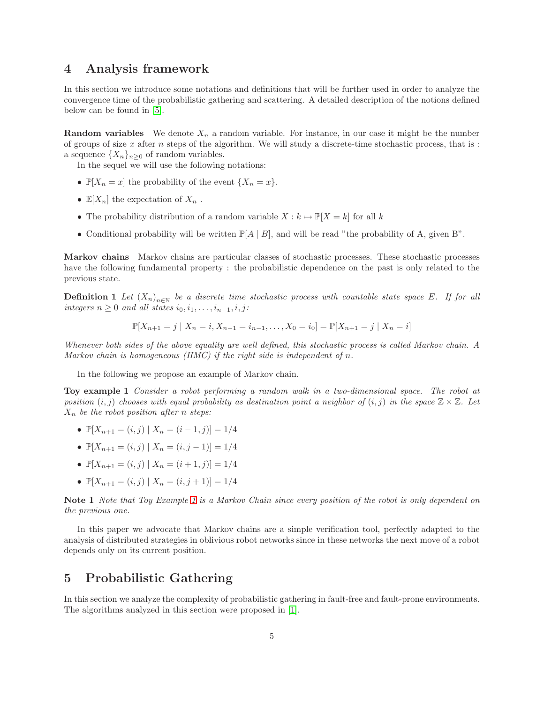# 4 Analysis framework

In this section we introduce some notations and definitions that will be further used in order to analyze the convergence time of the probabilistic gathering and scattering. A detailed description of the notions defined below can be found in [\[5\]](#page-11-6).

**Random variables** We denote  $X_n$  a random variable. For instance, in our case it might be the number of groups of size  $x$  after  $n$  steps of the algorithm. We will study a discrete-time stochastic process, that is : a sequence  $\{X_n\}_{n\geq 0}$  of random variables.

In the sequel we will use the following notations:

- $\mathbb{P}[X_n = x]$  the probability of the event  $\{X_n = x\}.$
- $\mathbb{E}[X_n]$  the expectation of  $X_n$ .
- The probability distribution of a random variable  $X : k \mapsto \mathbb{P}[X = k]$  for all k
- Conditional probability will be written  $\mathbb{P}[A \mid B]$ , and will be read "the probability of A, given B".

Markov chains Markov chains are particular classes of stochastic processes. These stochastic processes have the following fundamental property : the probabilistic dependence on the past is only related to the previous state.

**Definition 1** Let  $(X_n)_{n\in\mathbb{N}}$  be a discrete time stochastic process with countable state space E. If for all *integers*  $n \geq 0$  *and all states*  $i_0, i_1, \ldots, i_{n-1}, i, j$ :

<span id="page-4-1"></span>
$$
\mathbb{P}[X_{n+1} = j \mid X_n = i, X_{n-1} = i_{n-1}, \dots, X_0 = i_0] = \mathbb{P}[X_{n+1} = j \mid X_n = i]
$$

*Whenever both sides of the above equality are well defined, this stochastic process is called Markov chain. A Markov chain is homogeneous (HMC) if the right side is independent of* n*.*

In the following we propose an example of Markov chain.

Toy example 1 *Consider a robot performing a random walk in a two-dimensional space. The robot at position*  $(i, j)$  *chooses with equal probability as destination point a neighbor of*  $(i, j)$  *in the space*  $\mathbb{Z} \times \mathbb{Z}$ *. Let* X<sup>n</sup> *be the robot position after* n *steps:*

- $\mathbb{P}[X_{n+1}=(i, j) | X_n=(i-1, j)]=1/4$
- $\mathbb{P}[X_{n+1} = (i, j) | X_n = (i, j 1)] = 1/4$
- $\mathbb{P}[X_{n+1}=(i,j) | X_n=(i+1,j)] = 1/4$
- $\mathbb{P}[X_{n+1}=(i,j) | X_n=(i,j+1)]=1/4$

Note 1 *Note that Toy Example [1](#page-4-1) is a Markov Chain since every position of the robot is only dependent on the previous one.*

In this paper we advocate that Markov chains are a simple verification tool, perfectly adapted to the analysis of distributed strategies in oblivious robot networks since in these networks the next move of a robot depends only on its current position.

### <span id="page-4-0"></span>5 Probabilistic Gathering

In this section we analyze the complexity of probabilistic gathering in fault-free and fault-prone environments. The algorithms analyzed in this section were proposed in [\[1\]](#page-11-0).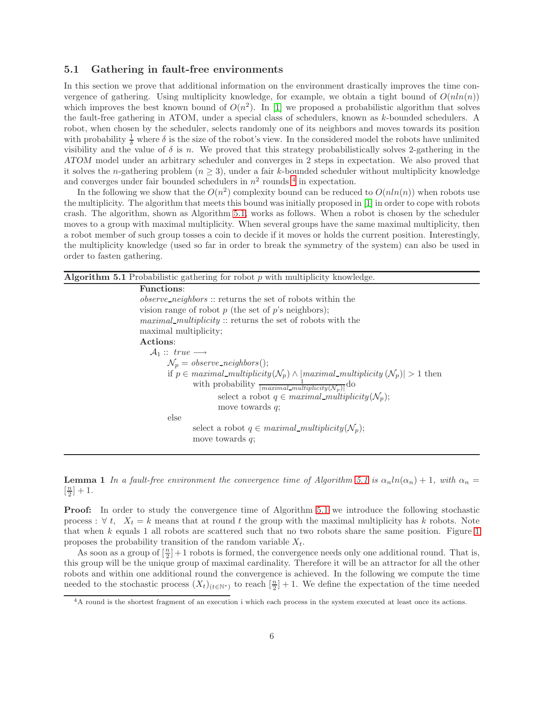#### 5.1 Gathering in fault-free environments

In this section we prove that additional information on the environment drastically improves the time convergence of gathering. Using multiplicity knowledge, for example, we obtain a tight bound of  $O(nln(n))$ which improves the best known bound of  $O(n^2)$ . In [\[1\]](#page-11-0) we proposed a probabilistic algorithm that solves the fault-free gathering in ATOM, under a special class of schedulers, known as k-bounded schedulers. A robot, when chosen by the scheduler, selects randomly one of its neighbors and moves towards its position with probability  $\frac{1}{\delta}$  where  $\delta$  is the size of the robot's view. In the considered model the robots have unlimited visibility and the value of  $\delta$  is n. We proved that this strategy probabilistically solves 2-gathering in the ATOM model under an arbitrary scheduler and converges in 2 steps in expectation. We also proved that it solves the n-gathering problem  $(n \geq 3)$ , under a fair k-bounded scheduler without multiplicity knowledge and converges under fair bounded schedulers in  $n^2$  rounds  $^4$  $^4$  in expectation.

In the following we show that the  $O(n^2)$  complexity bound can be reduced to  $O(n\ln(n))$  when robots use the multiplicity. The algorithm that meets this bound was initially proposed in [\[1\]](#page-11-0) in order to cope with robots crash. The algorithm, shown as Algorithm [5.1,](#page-5-1) works as follows. When a robot is chosen by the scheduler moves to a group with maximal multiplicity. When several groups have the same maximal multiplicity, then a robot member of such group tosses a coin to decide if it moves or holds the current position. Interestingly, the multiplicity knowledge (used so far in order to break the symmetry of the system) can also be used in order to fasten gathering.

<span id="page-5-1"></span>

| <b>Algorithm 5.1</b> Probabilistic gathering for robot $p$ with multiplicity knowledge.                |  |  |  |  |  |
|--------------------------------------------------------------------------------------------------------|--|--|--|--|--|
| <b>Functions:</b>                                                                                      |  |  |  |  |  |
| <i>observe_neighbors</i> :: returns the set of robots within the                                       |  |  |  |  |  |
| vision range of robot $p$ (the set of $p$ 's neighbors);                                               |  |  |  |  |  |
| <i>maximal_multiplicity</i> :: returns the set of robots with the                                      |  |  |  |  |  |
| maximal multiplicity;                                                                                  |  |  |  |  |  |
| Actions:                                                                                               |  |  |  |  |  |
| $\mathcal{A}_1 :: true \longrightarrow$                                                                |  |  |  |  |  |
| $\mathcal{N}_p = \text{observe\_neighbors}();$                                                         |  |  |  |  |  |
| if $p \in maximal\_multiplicity(\mathcal{N}_p) \wedge  maximal\_multiplicity(\mathcal{N}_p)  > 1$ then |  |  |  |  |  |
| with probability $\frac{1}{ maximal\_multilicity(\mathcal{N}_p) }$ do                                  |  |  |  |  |  |
| select a robot $q \in maximal\_multiplicity(\mathcal{N}_p);$                                           |  |  |  |  |  |
| move towards $q$ ;                                                                                     |  |  |  |  |  |
| else                                                                                                   |  |  |  |  |  |
| select a robot $q \in maximal\_multiplicity(\mathcal{N}_p);$                                           |  |  |  |  |  |
| move towards $q$ ;                                                                                     |  |  |  |  |  |
|                                                                                                        |  |  |  |  |  |

<span id="page-5-2"></span>**Lemma 1** In a fault-free environment the convergence time of Algorithm [5.1](#page-5-1) is  $\alpha_n \ln(\alpha_n) + 1$ , with  $\alpha_n =$  $\left[\frac{n}{2}\right] + 1.$ 

**Proof:** In order to study the convergence time of Algorithm [5.1](#page-5-1) we introduce the following stochastic process :  $\forall t, X_t = k$  means that at round t the group with the maximal multiplicity has k robots. Note that when  $k$  equals [1](#page-6-0) all robots are scattered such that no two robots share the same position. Figure 1 proposes the probability transition of the random variable  $X_t$ .

As soon as a group of  $\left[\frac{n}{2}\right]+1$  robots is formed, the convergence needs only one additional round. That is, this group will be the unique group of maximal cardinality. Therefore it will be an attractor for all the other robots and within one additional round the convergence is achieved. In the following we compute the time needed to the stochastic process  $(X_t)_{(t\in\mathbb{N}^*)}$  to reach  $\left[\frac{n}{2}\right]+1$ . We define the expectation of the time needed

<span id="page-5-0"></span><sup>4</sup>A round is the shortest fragment of an execution i which each process in the system executed at least once its actions.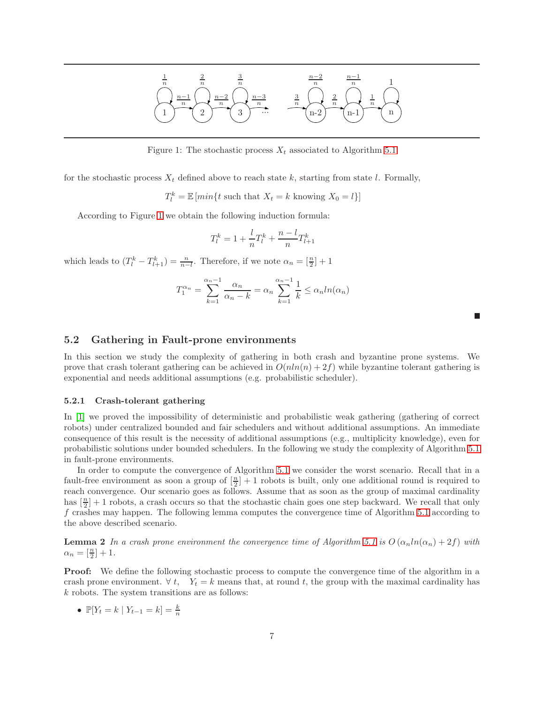

<span id="page-6-0"></span>Figure 1: The stochastic process  $X_t$  associated to Algorithm [5.1](#page-5-1)

for the stochastic process  $X_t$  defined above to reach state k, starting from state l. Formally,

 $T_l^k = \mathbb{E} [min\{t \text{ such that } X_t = k \text{ knowing } X_0 = l\}]$ 

According to Figure [1](#page-6-0) we obtain the following induction formula:

$$
T_l^k = 1 + \frac{l}{n}T_l^k + \frac{n-l}{n}T_{l+1}^k
$$

which leads to  $(T_l^k - T_{l+1}^k) = \frac{n}{n-l}$ . Therefore, if we note  $\alpha_n = \lceil \frac{n}{2} \rceil + 1$ 

$$
T_1^{\alpha_n} = \sum_{k=1}^{\alpha_n - 1} \frac{\alpha_n}{\alpha_n - k} = \alpha_n \sum_{k=1}^{\alpha_n - 1} \frac{1}{k} \le \alpha_n \ln(\alpha_n)
$$

| 5.2 |  |  |  | <b>Gathering in Fault-prone environments</b> |
|-----|--|--|--|----------------------------------------------|
|-----|--|--|--|----------------------------------------------|

In this section we study the complexity of gathering in both crash and byzantine prone systems. We prove that crash tolerant gathering can be achieved in  $O(nln(n) + 2f)$  while byzantine tolerant gathering is exponential and needs additional assumptions (e.g. probabilistic scheduler).

#### 5.2.1 Crash-tolerant gathering

In [\[1\]](#page-11-0) we proved the impossibility of deterministic and probabilistic weak gathering (gathering of correct robots) under centralized bounded and fair schedulers and without additional assumptions. An immediate consequence of this result is the necessity of additional assumptions (e.g., multiplicity knowledge), even for probabilistic solutions under bounded schedulers. In the following we study the complexity of Algorithm [5.1](#page-5-1) in fault-prone environments.

In order to compute the convergence of Algorithm [5.1](#page-5-1) we consider the worst scenario. Recall that in a fault-free environment as soon a group of  $\left[\frac{n}{2}\right]+1$  robots is built, only one additional round is required to reach convergence. Our scenario goes as follows. Assume that as soon as the group of maximal cardinality has  $\lfloor \frac{n}{2} \rfloor + 1$  robots, a crash occurs so that the stochastic chain goes one step backward. We recall that only f crashes may happen. The following lemma computes the convergence time of Algorithm [5.1](#page-5-1) according to the above described scenario.

**Lemma 2** *In a crash prone environment the convergence time of Algorithm* [5.1](#page-5-1) *is*  $O(\alpha_n ln(\alpha_n) + 2f)$  *with*  $\alpha_n = \left[\frac{n}{2}\right] + 1.$ 

Proof: We define the following stochastic process to compute the convergence time of the algorithm in a crash prone environment.  $\forall t, Y_t = k$  means that, at round t, the group with the maximal cardinality has k robots. The system transitions are as follows:

•  $\mathbb{P}[Y_t = k \mid Y_{t-1} = k] = \frac{k}{n}$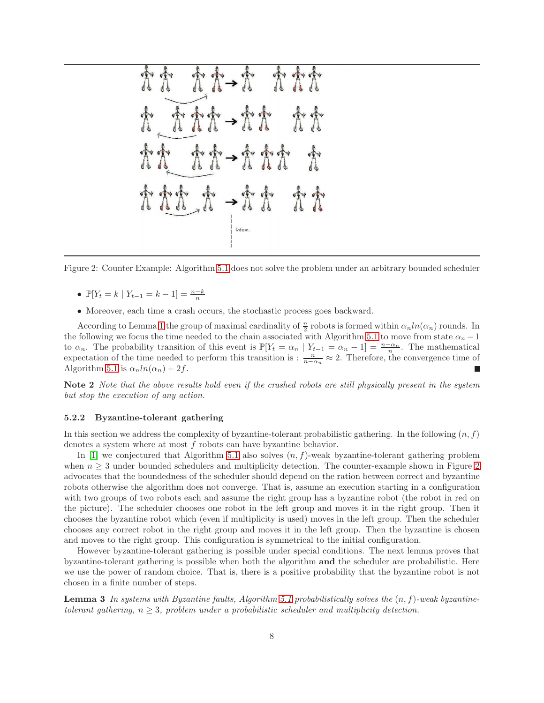Figure 2: Counter Example: Algorithm [5.1](#page-5-1) does not solve the problem under an arbitrary bounded scheduler

- <span id="page-7-0"></span>•  $\mathbb{P}[Y_t = k \mid Y_{t-1} = k-1] = \frac{n-k}{n}$
- Moreover, each time a crash occurs, the stochastic process goes backward.

According to Lemma [1](#page-5-2) the group of maximal cardinality of  $\frac{n}{2}$  robots is formed within  $\alpha_n ln(\alpha_n)$  rounds. In the following we focus the time needed to the chain associated with Algorithm [5.1](#page-5-1) to move from state  $\alpha_n - 1$ to  $\alpha_n$ . The probability transition of this event is  $\mathbb{P}[Y_t = \alpha_n | Y_{t-1} = \alpha_n - 1] = \frac{n - \alpha_n}{n}$ . The mathematical expectation of the time needed to perform this transition is :  $\frac{n}{n-\alpha_n} \approx 2$ . Therefore, the convergence time of Algorithm [5.1](#page-5-1) is  $\alpha_n ln(\alpha_n) + 2f$ .

Note 2 *Note that the above results hold even if the crashed robots are still physically present in the system but stop the execution of any action.*

#### 5.2.2 Byzantine-tolerant gathering

In this section we address the complexity of byzantine-tolerant probabilistic gathering. In the following  $(n, f)$ denotes a system where at most f robots can have byzantine behavior.

In [\[1\]](#page-11-0) we conjectured that Algorithm [5.1](#page-5-1) also solves  $(n, f)$ -weak byzantine-tolerant gathering problem when  $n \geq 3$  under bounded schedulers and multiplicity detection. The counter-example shown in Figure [2](#page-7-0) advocates that the boundedness of the scheduler should depend on the ration between correct and byzantine robots otherwise the algorithm does not converge. That is, assume an execution starting in a configuration with two groups of two robots each and assume the right group has a byzantine robot (the robot in red on the picture). The scheduler chooses one robot in the left group and moves it in the right group. Then it chooses the byzantine robot which (even if multiplicity is used) moves in the left group. Then the scheduler chooses any correct robot in the right group and moves it in the left group. Then the byzantine is chosen and moves to the right group. This configuration is symmetrical to the initial configuration.

However byzantine-tolerant gathering is possible under special conditions. The next lemma proves that byzantine-tolerant gathering is possible when both the algorithm and the scheduler are probabilistic. Here we use the power of random choice. That is, there is a positive probability that the byzantine robot is not chosen in a finite number of steps.

Lemma 3 *In systems with Byzantine faults, Algorithm [5.1](#page-5-1) probabilistically solves the* (n, f)*-weak byzantinetolerant gathering,*  $n \geq 3$ *, problem under a probabilistic scheduler and multiplicity detection.*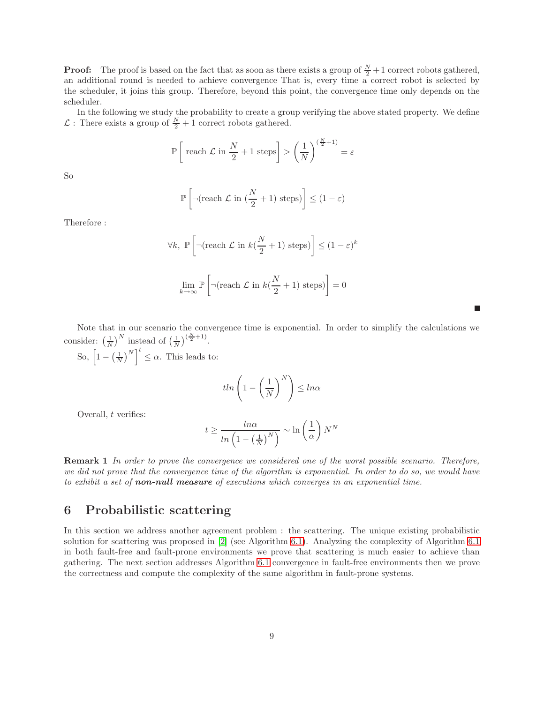**Proof:** The proof is based on the fact that as soon as there exists a group of  $\frac{N}{2}+1$  correct robots gathered, an additional round is needed to achieve convergence That is, every time a correct robot is selected by the scheduler, it joins this group. Therefore, beyond this point, the convergence time only depends on the scheduler.

In the following we study the probability to create a group verifying the above stated property. We define  $\mathcal{L}$ : There exists a group of  $\frac{N}{2} + 1$  correct robots gathered.

$$
\mathbb{P}\left[\text{ reach } \mathcal{L} \text{ in } \frac{N}{2} + 1 \text{ steps}\right] > \left(\frac{1}{N}\right)^{(\frac{N}{2}+1)} = \varepsilon
$$

So

$$
\mathbb{P}\left[\neg(\text{reach }\mathcal{L}\text{ in }(\frac{N}{2}+1)\text{ steps})\right] \leq (1-\varepsilon)
$$

Therefore :

$$
\forall k, \mathbb{P}\left[\neg(\text{reach } \mathcal{L} \text{ in } k(\frac{N}{2} + 1) \text{ steps})\right] \le (1 - \varepsilon)^k
$$
  

$$
\lim_{k \to \infty} \mathbb{P}\left[\neg(\text{reach } \mathcal{L} \text{ in } k(\frac{N}{2} + 1) \text{ steps})\right] = 0
$$

Note that in our scenario the convergence time is exponential. In order to simplify the calculations we consider:  $\left(\frac{1}{N}\right)^N$  instead of  $\left(\frac{1}{N}\right)^{\left(\frac{N}{2}+1\right)}$ .

П

So,  $\left[1 - \left(\frac{1}{N}\right)^N\right]^t \leq \alpha$ . This leads to:

$$
tln\left(1-\left(\frac{1}{N}\right)^N\right) \leq ln\alpha
$$

Overall, t verifies:

$$
t \ge \frac{\ln \alpha}{\ln \left(1 - \left(\frac{1}{N}\right)^N\right)} \sim \ln \left(\frac{1}{\alpha}\right) N^N
$$

Remark 1 *In order to prove the convergence we considered one of the worst possible scenario. Therefore, we did not prove that the convergence time of the algorithm is exponential. In order to do so, we would have to exhibit a set of* non-null measure *of executions which converges in an exponential time.*

## <span id="page-8-0"></span>6 Probabilistic scattering

In this section we address another agreement problem : the scattering. The unique existing probabilistic solution for scattering was proposed in [\[2\]](#page-11-1) (see Algorithm [6.1\)](#page-9-0). Analyzing the complexity of Algorithm [6.1](#page-9-0) in both fault-free and fault-prone environments we prove that scattering is much easier to achieve than gathering. The next section addresses Algorithm [6.1](#page-9-0) convergence in fault-free environments then we prove the correctness and compute the complexity of the same algorithm in fault-prone systems.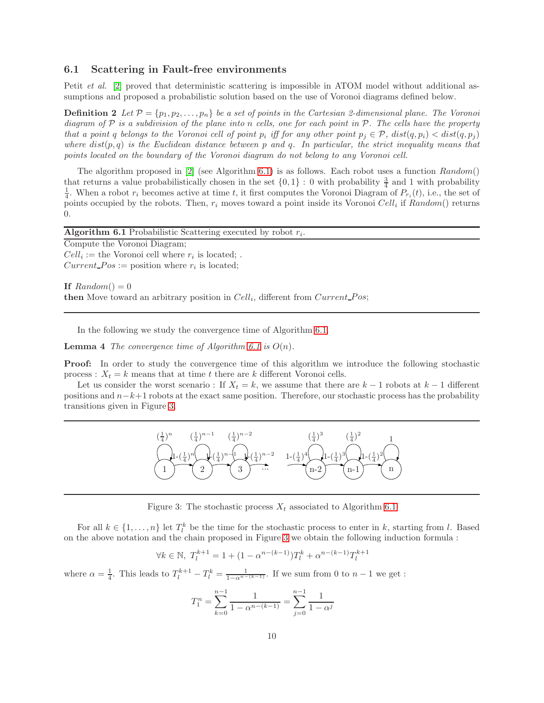#### 6.1 Scattering in Fault-free environments

Petit *et al.* [\[2\]](#page-11-1) proved that deterministic scattering is impossible in ATOM model without additional assumptions and proposed a probabilistic solution based on the use of Voronoi diagrams defined below.

**Definition 2** Let  $\mathcal{P} = \{p_1, p_2, \ldots, p_n\}$  be a set of points in the Cartesian 2-dimensional plane. The Voronoi *diagram of* P *is a subdivision of the plane into* n *cells, one for each point in* P*. The cells have the property that a point q belongs to the Voronoi cell of point*  $p_i$  *iff for any other point*  $p_j \in \mathcal{P}$ ,  $dist(q, p_i) < dist(q, p_j)$ *where* dist(p, q) *is the Euclidean distance between* p *and* q*. In particular, the strict inequality means that points located on the boundary of the Voronoi diagram do not belong to any Voronoi cell.*

The algorithm proposed in  $[2]$  (see Algorithm [6.1\)](#page-9-0) is as follows. Each robot uses a function  $Random()$ that returns a value probabilistically chosen in the set  $\{0,1\}$ : 0 with probability  $\frac{3}{4}$  and 1 with probability  $\frac{1}{4}$ . When a robot  $r_i$  becomes active at time t, it first computes the Voronoi Diagram of  $P_{r_i}(t)$ , i.e., the set of points occupied by the robots. Then,  $r_i$  moves toward a point inside its Voronoi Cell<sub>i</sub> if Random() returns 0.

<span id="page-9-0"></span>

| <b>Algorithm 6.1</b> Probabilistic Scattering executed by robot $r_i$ . |
|-------------------------------------------------------------------------|
| Compute the Voronoi Diagram;                                            |
| $Cell_i :=$ the Voronoi cell where $r_i$ is located;                    |
| $Current\_Pos := position$ where $r_i$ is located;                      |
|                                                                         |

If  $Random() = 0$ then Move toward an arbitrary position in  $Cell_i$ , different from  $Current\_{Pos};$ 

In the following we study the convergence time of Algorithm [6.1.](#page-9-0)

**Lemma 4** *The convergence time of Algorithm [6.1](#page-9-0) is*  $O(n)$ *.* 

**Proof:** In order to study the convergence time of this algorithm we introduce the following stochastic process :  $X_t = k$  means that at time t there are k different Voronoi cells.

Let us consider the worst scenario : If  $X_t = k$ , we assume that there are  $k-1$  robots at  $k-1$  different positions and  $n-k+1$  robots at the exact same position. Therefore, our stochastic process has the probability transitions given in Figure [3.](#page-9-1)



<span id="page-9-1"></span>Figure 3: The stochastic process  $X_t$  associated to Algorithm [6.1](#page-9-0)

For all  $k \in \{1, \ldots, n\}$  let  $T_l^k$  be the time for the stochastic process to enter in k, starting from l. Based on the above notation and the chain proposed in Figure [3](#page-9-1) we obtain the following induction formula :

$$
\forall k \in \mathbb{N}, \ T_l^{k+1} = 1 + (1 - \alpha^{n - (k-1)}) T_l^k + \alpha^{n - (k-1)} T_l^{k+1}
$$

where  $\alpha = \frac{1}{4}$ . This leads to  $T_l^{k+1} - T_l^k = \frac{1}{1 - \alpha^{n-(k-1)}}$ . If we sum from 0 to  $n-1$  we get :

$$
T_1^n = \sum_{k=0}^{n-1} \frac{1}{1 - \alpha^{n-(k-1)}} = \sum_{j=0}^{n-1} \frac{1}{1 - \alpha^j}
$$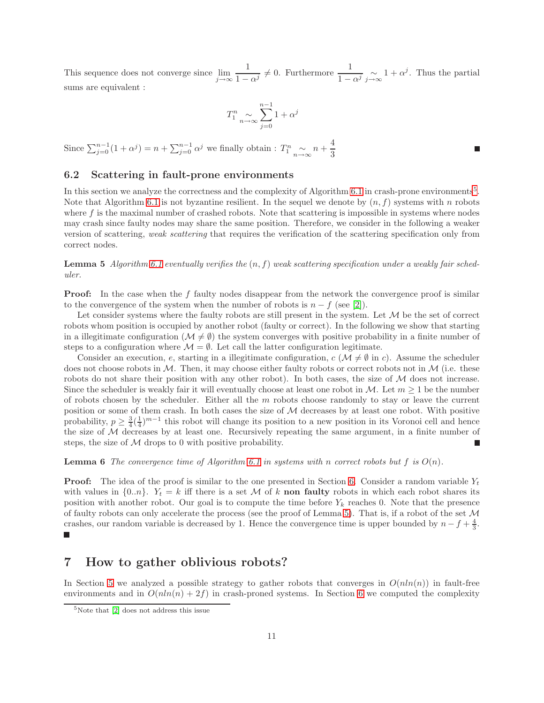This sequence does not converge since  $\lim_{j\to\infty}$ 1  $\frac{1}{1-\alpha^j} \neq 0$ . Furthermore  $\frac{1}{1-\alpha^j} \underset{j\to\infty}{\sim} 1 + \alpha^j$ . Thus the partial sums are equivalent :

П

$$
T_{1}^{n} \underset{n \to \infty}{\sim} \sum_{j=0}^{n-1} 1 + \alpha^{j}
$$

Since  $\sum_{j=0}^{n-1} (1 + \alpha^j) = n + \sum_{j=0}^{n-1} \alpha^j$  we finally obtain :  $T_1^n \underset{n \to \infty}{\sim} n + \frac{4}{3}$ 3

### 6.2 Scattering in fault-prone environments

In this section we analyze the correctness and the complexity of Algorithm [6.1](#page-9-0) in crash-prone environments<sup>[5](#page-10-1)</sup>. Note that Algorithm [6.1](#page-9-0) is not byzantine resilient. In the sequel we denote by  $(n, f)$  systems with n robots where  $f$  is the maximal number of crashed robots. Note that scattering is impossible in systems where nodes may crash since faulty nodes may share the same position. Therefore, we consider in the following a weaker version of scattering, *weak scattering* that requires the verification of the scattering specification only from correct nodes.

<span id="page-10-2"></span>Lemma 5 *Algorithm [6.1](#page-9-0) eventually verifies the* (n, f) *weak scattering specification under a weakly fair scheduler.*

**Proof:** In the case when the f faulty nodes disappear from the network the convergence proof is similar to the convergence of the system when the number of robots is  $n - f$  (see [\[2\]](#page-11-1)).

Let consider systems where the faulty robots are still present in the system. Let  $\mathcal M$  be the set of correct robots whom position is occupied by another robot (faulty or correct). In the following we show that starting in a illegitimate configuration ( $\mathcal{M} \neq \emptyset$ ) the system converges with positive probability in a finite number of steps to a configuration where  $\mathcal{M} = \emptyset$ . Let call the latter configuration legitimate.

Consider an execution, e, starting in a illegitimate configuration,  $c$  ( $\mathcal{M} \neq \emptyset$  in c). Assume the scheduler does not choose robots in  $M$ . Then, it may choose either faulty robots or correct robots not in  $M$  (i.e. these robots do not share their position with any other robot). In both cases, the size of  $M$  does not increase. Since the scheduler is weakly fair it will eventually choose at least one robot in M. Let  $m \geq 1$  be the number of robots chosen by the scheduler. Either all the m robots choose randomly to stay or leave the current position or some of them crash. In both cases the size of M decreases by at least one robot. With positive probability,  $p \geq \frac{3}{4}(\frac{1}{4})^{m-1}$  this robot will change its position to a new position in its Voronoi cell and hence the size of  $M$  decreases by at least one. Recursively repeating the same argument, in a finite number of steps, the size of  $M$  drops to 0 with positive probability.

**Lemma 6** The convergence time of Algorithm [6.1](#page-9-0) in systems with n correct robots but  $f$  is  $O(n)$ .

**Proof:** The idea of the proof is similar to the one presented in Section [6.](#page-8-0) Consider a random variable  $Y_t$ with values in  $\{0..n\}$ .  $Y_t = k$  iff there is a set M of k non faulty robots in which each robot shares its position with another robot. Our goal is to compute the time before  $Y_k$  reaches 0. Note that the presence of faulty robots can only accelerate the process (see the proof of Lemma [5\)](#page-10-2). That is, if a robot of the set M crashes, our random variable is decreased by 1. Hence the convergence time is upper bounded by  $n - f + \frac{4}{3}$ .

### <span id="page-10-0"></span>7 How to gather oblivious robots?

In Section [5](#page-4-0) we analyzed a possible strategy to gather robots that converges in  $O(n\ln(n))$  in fault-free environments and in  $O(n\ln(n) + 2f)$  in crash-proned systems. In Section [6](#page-8-0) we computed the complexity

<span id="page-10-1"></span><sup>5</sup>Note that [\[2\]](#page-11-1) does not address this issue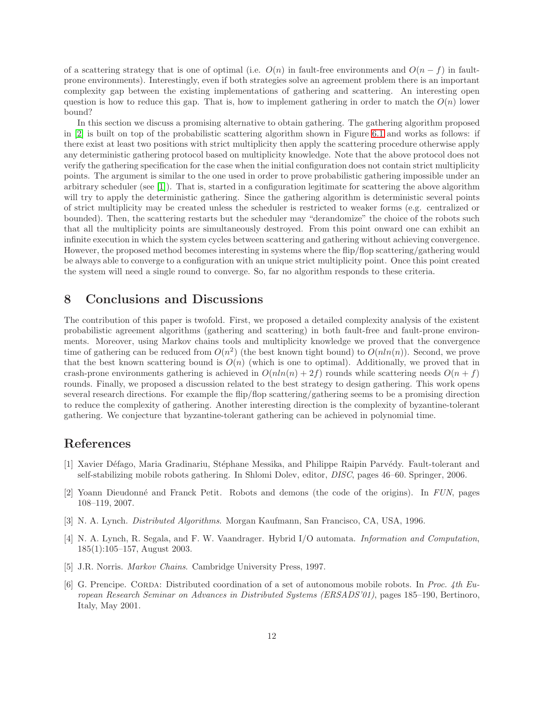of a scattering strategy that is one of optimal (i.e.  $O(n)$  in fault-free environments and  $O(n - f)$  in faultprone environments). Interestingly, even if both strategies solve an agreement problem there is an important complexity gap between the existing implementations of gathering and scattering. An interesting open question is how to reduce this gap. That is, how to implement gathering in order to match the  $O(n)$  lower bound?

In this section we discuss a promising alternative to obtain gathering. The gathering algorithm proposed in [\[2\]](#page-11-1) is built on top of the probabilistic scattering algorithm shown in Figure [6.1](#page-9-0) and works as follows: if there exist at least two positions with strict multiplicity then apply the scattering procedure otherwise apply any deterministic gathering protocol based on multiplicity knowledge. Note that the above protocol does not verify the gathering specification for the case when the initial configuration does not contain strict multiplicity points. The argument is similar to the one used in order to prove probabilistic gathering impossible under an arbitrary scheduler (see [\[1\]](#page-11-0)). That is, started in a configuration legitimate for scattering the above algorithm will try to apply the deterministic gathering. Since the gathering algorithm is deterministic several points of strict multiplicity may be created unless the scheduler is restricted to weaker forms (e.g. centralized or bounded). Then, the scattering restarts but the scheduler may "derandomize" the choice of the robots such that all the multiplicity points are simultaneously destroyed. From this point onward one can exhibit an infinite execution in which the system cycles between scattering and gathering without achieving convergence. However, the proposed method becomes interesting in systems where the flip/flop scattering/gathering would be always able to converge to a configuration with an unique strict multiplicity point. Once this point created the system will need a single round to converge. So, far no algorithm responds to these criteria.

## <span id="page-11-2"></span>8 Conclusions and Discussions

The contribution of this paper is twofold. First, we proposed a detailed complexity analysis of the existent probabilistic agreement algorithms (gathering and scattering) in both fault-free and fault-prone environments. Moreover, using Markov chains tools and multiplicity knowledge we proved that the convergence time of gathering can be reduced from  $O(n^2)$  (the best known tight bound) to  $O(nln(n))$ . Second, we prove that the best known scattering bound is  $O(n)$  (which is one to optimal). Additionally, we proved that in crash-prone environments gathering is achieved in  $O(n\ln(n) + 2f)$  rounds while scattering needs  $O(n + f)$ rounds. Finally, we proposed a discussion related to the best strategy to design gathering. This work opens several research directions. For example the flip/flop scattering/gathering seems to be a promising direction to reduce the complexity of gathering. Another interesting direction is the complexity of byzantine-tolerant gathering. We conjecture that byzantine-tolerant gathering can be achieved in polynomial time.

## <span id="page-11-0"></span>References

- [1] Xavier Défago, Maria Gradinariu, Stéphane Messika, and Philippe Raipin Parvédy. Fault-tolerant and self-stabilizing mobile robots gathering. In Shlomi Dolev, editor, *DISC*, pages 46–60. Springer, 2006.
- <span id="page-11-1"></span>[2] Yoann Dieudonn´e and Franck Petit. Robots and demons (the code of the origins). In *FUN*, pages 108–119, 2007.
- <span id="page-11-5"></span><span id="page-11-4"></span>[3] N. A. Lynch. *Distributed Algorithms*. Morgan Kaufmann, San Francisco, CA, USA, 1996.
- [4] N. A. Lynch, R. Segala, and F. W. Vaandrager. Hybrid I/O automata. *Information and Computation*, 185(1):105–157, August 2003.
- <span id="page-11-6"></span><span id="page-11-3"></span>[5] J.R. Norris. *Markov Chains*. Cambridge University Press, 1997.
- [6] G. Prencipe. CORDA: Distributed coordination of a set of autonomous mobile robots. In *Proc. 4th European Research Seminar on Advances in Distributed Systems (ERSADS'01)*, pages 185–190, Bertinoro, Italy, May 2001.